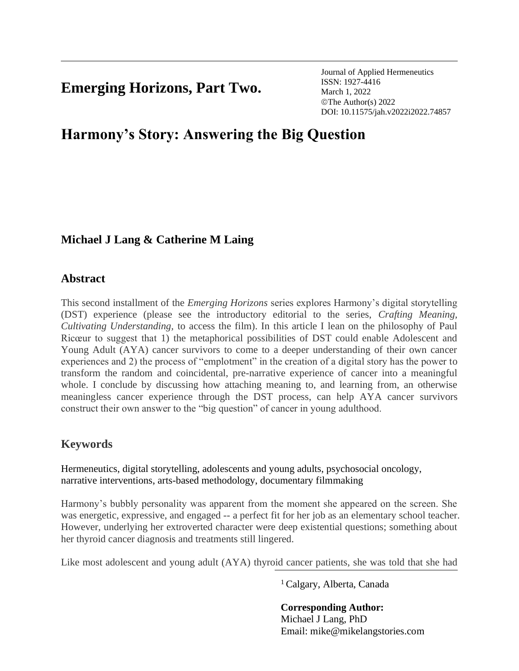## **Emerging Horizons, Part Two.**

Journal of Applied Hermeneutics ISSN: 1927-4416 March 1, 2022 ©The Author(s) 2022 DOI: 10.11575/jah.v2022i2022.74857

# **Harmony's Story: Answering the Big Question**

## **Michael J Lang & Catherine M Laing**

## **Abstract**

This second installment of the *Emerging Horizons* series explores Harmony's digital storytelling (DST) experience (please see the introductory editorial to the series, *Crafting Meaning, Cultivating Understanding,* to access the film). In this article I lean on the philosophy of Paul Ricœur to suggest that 1) the metaphorical possibilities of DST could enable Adolescent and Young Adult (AYA) cancer survivors to come to a deeper understanding of their own cancer experiences and 2) the process of "emplotment" in the creation of a digital story has the power to transform the random and coincidental, pre-narrative experience of cancer into a meaningful whole. I conclude by discussing how attaching meaning to, and learning from, an otherwise meaningless cancer experience through the DST process, can help AYA cancer survivors construct their own answer to the "big question" of cancer in young adulthood.

## **Keywords**

Hermeneutics, digital storytelling, adolescents and young adults, psychosocial oncology, narrative interventions, arts-based methodology, documentary filmmaking

Harmony's bubbly personality was apparent from the moment she appeared on the screen. She was energetic, expressive, and engaged -- a perfect fit for her job as an elementary school teacher. However, underlying her extroverted character were deep existential questions; something about her thyroid cancer diagnosis and treatments still lingered.

Like most adolescent and young adult (AYA) thyroid cancer patients, she was told that she had

<sup>1</sup>Calgary, Alberta, Canada

**Corresponding Author:** Michael J Lang, PhD Email: mike@mikelangstories.com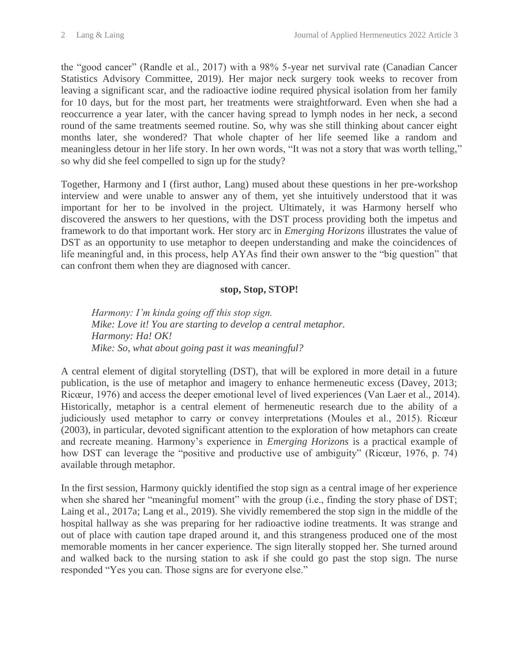the "good cancer" (Randle et al., 2017) with a 98% 5-year net survival rate (Canadian Cancer Statistics Advisory Committee, 2019). Her major neck surgery took weeks to recover from leaving a significant scar, and the radioactive iodine required physical isolation from her family for 10 days, but for the most part, her treatments were straightforward. Even when she had a reoccurrence a year later, with the cancer having spread to lymph nodes in her neck, a second round of the same treatments seemed routine. So, why was she still thinking about cancer eight months later, she wondered? That whole chapter of her life seemed like a random and meaningless detour in her life story. In her own words, "It was not a story that was worth telling," so why did she feel compelled to sign up for the study?

Together, Harmony and I (first author, Lang) mused about these questions in her pre-workshop interview and were unable to answer any of them, yet she intuitively understood that it was important for her to be involved in the project. Ultimately, it was Harmony herself who discovered the answers to her questions, with the DST process providing both the impetus and framework to do that important work. Her story arc in *Emerging Horizons* illustrates the value of DST as an opportunity to use metaphor to deepen understanding and make the coincidences of life meaningful and, in this process, help AYAs find their own answer to the "big question" that can confront them when they are diagnosed with cancer.

#### **stop, Stop, STOP!**

*Harmony: I'm kinda going off this stop sign. Mike: Love it! You are starting to develop a central metaphor. Harmony: Ha! OK! Mike: So, what about going past it was meaningful?*

A central element of digital storytelling (DST), that will be explored in more detail in a future publication, is the use of metaphor and imagery to enhance hermeneutic excess (Davey, 2013; Ricœur, 1976) and access the deeper emotional level of lived experiences (Van Laer et al., 2014). Historically, metaphor is a central element of hermeneutic research due to the ability of a judiciously used metaphor to carry or convey interpretations (Moules et al., 2015). Ricœur (2003), in particular, devoted significant attention to the exploration of how metaphors can create and recreate meaning. Harmony's experience in *Emerging Horizons* is a practical example of how DST can leverage the "positive and productive use of ambiguity" (Ricœur, 1976, p. 74) available through metaphor.

In the first session, Harmony quickly identified the stop sign as a central image of her experience when she shared her "meaningful moment" with the group (i.e., finding the story phase of DST; Laing et al., 2017a; Lang et al., 2019). She vividly remembered the stop sign in the middle of the hospital hallway as she was preparing for her radioactive iodine treatments. It was strange and out of place with caution tape draped around it, and this strangeness produced one of the most memorable moments in her cancer experience. The sign literally stopped her. She turned around and walked back to the nursing station to ask if she could go past the stop sign. The nurse responded "Yes you can. Those signs are for everyone else."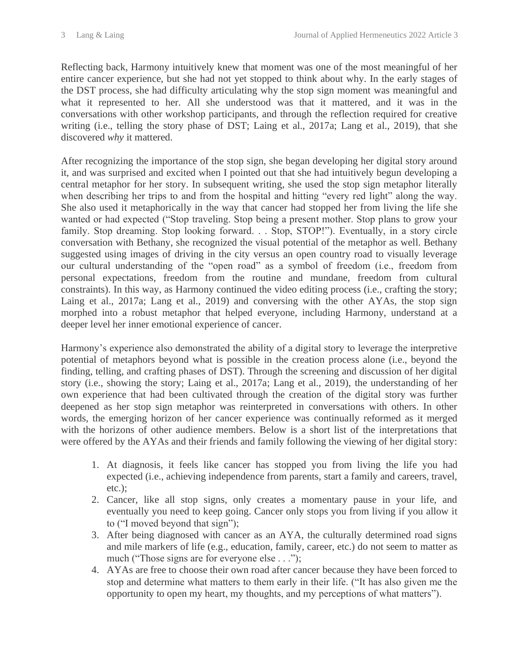Reflecting back, Harmony intuitively knew that moment was one of the most meaningful of her entire cancer experience, but she had not yet stopped to think about why. In the early stages of the DST process, she had difficulty articulating why the stop sign moment was meaningful and what it represented to her. All she understood was that it mattered, and it was in the conversations with other workshop participants, and through the reflection required for creative writing (i.e., telling the story phase of DST; Laing et al., 2017a; Lang et al., 2019), that she discovered *why* it mattered.

After recognizing the importance of the stop sign, she began developing her digital story around it, and was surprised and excited when I pointed out that she had intuitively begun developing a central metaphor for her story. In subsequent writing, she used the stop sign metaphor literally when describing her trips to and from the hospital and hitting "every red light" along the way. She also used it metaphorically in the way that cancer had stopped her from living the life she wanted or had expected ("Stop traveling. Stop being a present mother. Stop plans to grow your family. Stop dreaming. Stop looking forward. . . Stop, STOP!"). Eventually, in a story circle conversation with Bethany, she recognized the visual potential of the metaphor as well. Bethany suggested using images of driving in the city versus an open country road to visually leverage our cultural understanding of the "open road" as a symbol of freedom (i.e., freedom from personal expectations, freedom from the routine and mundane, freedom from cultural constraints). In this way, as Harmony continued the video editing process (i.e., crafting the story; Laing et al., 2017a; Lang et al., 2019) and conversing with the other AYAs, the stop sign morphed into a robust metaphor that helped everyone, including Harmony, understand at a deeper level her inner emotional experience of cancer.

Harmony's experience also demonstrated the ability of a digital story to leverage the interpretive potential of metaphors beyond what is possible in the creation process alone (i.e., beyond the finding, telling, and crafting phases of DST). Through the screening and discussion of her digital story (i.e., showing the story; Laing et al., 2017a; Lang et al., 2019), the understanding of her own experience that had been cultivated through the creation of the digital story was further deepened as her stop sign metaphor was reinterpreted in conversations with others. In other words, the emerging horizon of her cancer experience was continually reformed as it merged with the horizons of other audience members. Below is a short list of the interpretations that were offered by the AYAs and their friends and family following the viewing of her digital story:

- 1. At diagnosis, it feels like cancer has stopped you from living the life you had expected (i.e., achieving independence from parents, start a family and careers, travel, etc.);
- 2. Cancer, like all stop signs, only creates a momentary pause in your life, and eventually you need to keep going. Cancer only stops you from living if you allow it to ("I moved beyond that sign");
- 3. After being diagnosed with cancer as an AYA, the culturally determined road signs and mile markers of life (e.g., education, family, career, etc.) do not seem to matter as much ("Those signs are for everyone else . . .");
- 4. AYAs are free to choose their own road after cancer because they have been forced to stop and determine what matters to them early in their life. ("It has also given me the opportunity to open my heart, my thoughts, and my perceptions of what matters").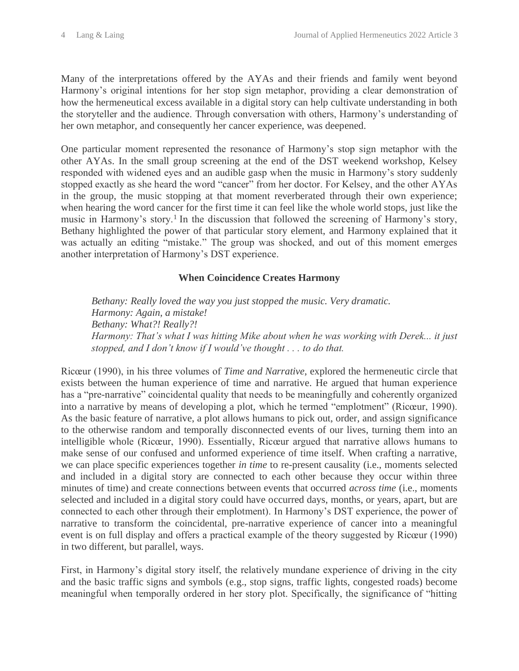Many of the interpretations offered by the AYAs and their friends and family went beyond Harmony's original intentions for her stop sign metaphor, providing a clear demonstration of how the hermeneutical excess available in a digital story can help cultivate understanding in both the storyteller and the audience. Through conversation with others, Harmony's understanding of her own metaphor, and consequently her cancer experience, was deepened.

One particular moment represented the resonance of Harmony's stop sign metaphor with the other AYAs. In the small group screening at the end of the DST weekend workshop, Kelsey responded with widened eyes and an audible gasp when the music in Harmony's story suddenly stopped exactly as she heard the word "cancer" from her doctor. For Kelsey, and the other AYAs in the group, the music stopping at that moment reverberated through their own experience; when hearing the word cancer for the first time it can feel like the whole world stops, just like the music in Harmony's story.<sup>1</sup> In the discussion that followed the screening of Harmony's story, Bethany highlighted the power of that particular story element, and Harmony explained that it was actually an editing "mistake." The group was shocked, and out of this moment emerges another interpretation of Harmony's DST experience.

### **When Coincidence Creates Harmony**

*Bethany: Really loved the way you just stopped the music. Very dramatic. Harmony: Again, a mistake! Bethany: What?! Really?! Harmony: That's what I was hitting Mike about when he was working with Derek... it just stopped, and I don't know if I would've thought . . . to do that.*

Ricœur (1990), in his three volumes of *Time and Narrative*, explored the hermeneutic circle that exists between the human experience of time and narrative. He argued that human experience has a "pre-narrative" coincidental quality that needs to be meaningfully and coherently organized into a narrative by means of developing a plot, which he termed "emplotment" (Ricœur, 1990). As the basic feature of narrative, a plot allows humans to pick out, order, and assign significance to the otherwise random and temporally disconnected events of our lives, turning them into an intelligible whole (Ricœur, 1990). Essentially, Ricœur argued that narrative allows humans to make sense of our confused and unformed experience of time itself. When crafting a narrative, we can place specific experiences together *in time* to re-present causality (i.e., moments selected and included in a digital story are connected to each other because they occur within three minutes of time) and create connections between events that occurred *across time* (i.e., moments selected and included in a digital story could have occurred days, months, or years, apart, but are connected to each other through their emplotment). In Harmony's DST experience, the power of narrative to transform the coincidental, pre-narrative experience of cancer into a meaningful event is on full display and offers a practical example of the theory suggested by Ricœur (1990) in two different, but parallel, ways.

First, in Harmony's digital story itself, the relatively mundane experience of driving in the city and the basic traffic signs and symbols (e.g., stop signs, traffic lights, congested roads) become meaningful when temporally ordered in her story plot. Specifically, the significance of "hitting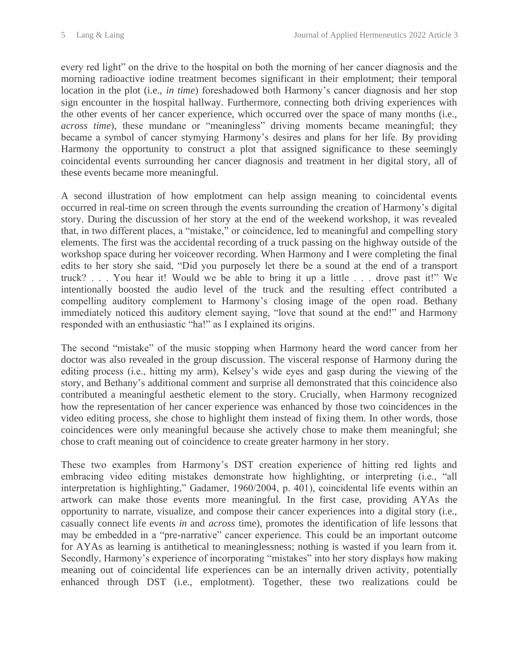every red light" on the drive to the hospital on both the morning of her cancer diagnosis and the morning radioactive iodine treatment becomes significant in their emplotment; their temporal location in the plot (i.e., *in time*) foreshadowed both Harmony's cancer diagnosis and her stop sign encounter in the hospital hallway. Furthermore, connecting both driving experiences with the other events of her cancer experience, which occurred over the space of many months (i.e., *across time*), these mundane or "meaningless" driving moments became meaningful; they became a symbol of cancer stymying Harmony's desires and plans for her life. By providing Harmony the opportunity to construct a plot that assigned significance to these seemingly coincidental events surrounding her cancer diagnosis and treatment in her digital story, all of these events became more meaningful.

A second illustration of how emplotment can help assign meaning to coincidental events occurred in real-time on screen through the events surrounding the creation of Harmony's digital story. During the discussion of her story at the end of the weekend workshop, it was revealed that, in two different places, a "mistake," or coincidence, led to meaningful and compelling story elements. The first was the accidental recording of a truck passing on the highway outside of the workshop space during her voiceover recording. When Harmony and I were completing the final edits to her story she said, "Did you purposely let there be a sound at the end of a transport truck? . . . You hear it! Would we be able to bring it up a little . . . drove past it!" We intentionally boosted the audio level of the truck and the resulting effect contributed a compelling auditory complement to Harmony's closing image of the open road. Bethany immediately noticed this auditory element saying, "love that sound at the end!" and Harmony responded with an enthusiastic "ha!" as I explained its origins.

The second "mistake" of the music stopping when Harmony heard the word cancer from her doctor was also revealed in the group discussion. The visceral response of Harmony during the editing process (i.e., hitting my arm), Kelsey's wide eyes and gasp during the viewing of the story, and Bethany's additional comment and surprise all demonstrated that this coincidence also contributed a meaningful aesthetic element to the story. Crucially, when Harmony recognized how the representation of her cancer experience was enhanced by those two coincidences in the video editing process, she chose to highlight them instead of fixing them. In other words, those coincidences were only meaningful because she actively chose to make them meaningful; she chose to craft meaning out of coincidence to create greater harmony in her story.

These two examples from Harmony's DST creation experience of hitting red lights and embracing video editing mistakes demonstrate how highlighting, or interpreting (i.e., "all interpretation is highlighting," Gadamer, 1960/2004, p. 401), coincidental life events within an artwork can make those events more meaningful. In the first case, providing AYAs the opportunity to narrate, visualize, and compose their cancer experiences into a digital story (i.e., casually connect life events *in* and *across* time), promotes the identification of life lessons that may be embedded in a "pre-narrative" cancer experience. This could be an important outcome for AYAs as learning is antithetical to meaninglessness; nothing is wasted if you learn from it. Secondly, Harmony's experience of incorporating "mistakes" into her story displays how making meaning out of coincidental life experiences can be an internally driven activity, potentially enhanced through DST (i.e., emplotment). Together, these two realizations could be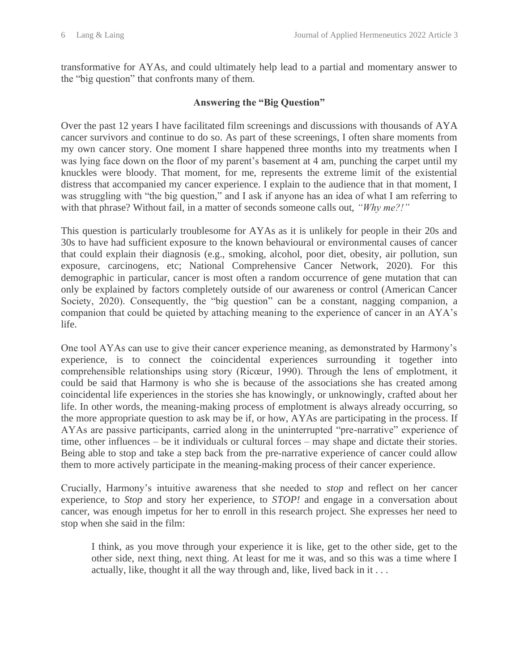transformative for AYAs, and could ultimately help lead to a partial and momentary answer to the "big question" that confronts many of them.

#### **Answering the "Big Question"**

Over the past 12 years I have facilitated film screenings and discussions with thousands of AYA cancer survivors and continue to do so. As part of these screenings, I often share moments from my own cancer story. One moment I share happened three months into my treatments when I was lying face down on the floor of my parent's basement at 4 am, punching the carpet until my knuckles were bloody. That moment, for me, represents the extreme limit of the existential distress that accompanied my cancer experience. I explain to the audience that in that moment, I was struggling with "the big question," and I ask if anyone has an idea of what I am referring to with that phrase? Without fail, in a matter of seconds someone calls out, *"Why me?!"* 

This question is particularly troublesome for AYAs as it is unlikely for people in their 20s and 30s to have had sufficient exposure to the known behavioural or environmental causes of cancer that could explain their diagnosis (e.g., smoking, alcohol, poor diet, obesity, air pollution, sun exposure, carcinogens, etc; National Comprehensive Cancer Network, 2020). For this demographic in particular, cancer is most often a random occurrence of gene mutation that can only be explained by factors completely outside of our awareness or control (American Cancer Society, 2020). Consequently, the "big question" can be a constant, nagging companion, a companion that could be quieted by attaching meaning to the experience of cancer in an AYA's life.

One tool AYAs can use to give their cancer experience meaning, as demonstrated by Harmony's experience, is to connect the coincidental experiences surrounding it together into comprehensible relationships using story (Ricœur, 1990). Through the lens of emplotment, it could be said that Harmony is who she is because of the associations she has created among coincidental life experiences in the stories she has knowingly, or unknowingly, crafted about her life. In other words, the meaning-making process of emplotment is always already occurring, so the more appropriate question to ask may be if, or how, AYAs are participating in the process. If AYAs are passive participants, carried along in the uninterrupted "pre-narrative" experience of time, other influences – be it individuals or cultural forces – may shape and dictate their stories. Being able to stop and take a step back from the pre-narrative experience of cancer could allow them to more actively participate in the meaning-making process of their cancer experience.

Crucially, Harmony's intuitive awareness that she needed to *stop* and reflect on her cancer experience, to *Stop* and story her experience, to *STOP!* and engage in a conversation about cancer, was enough impetus for her to enroll in this research project. She expresses her need to stop when she said in the film:

I think, as you move through your experience it is like, get to the other side, get to the other side, next thing, next thing. At least for me it was, and so this was a time where I actually, like, thought it all the way through and, like, lived back in it . . .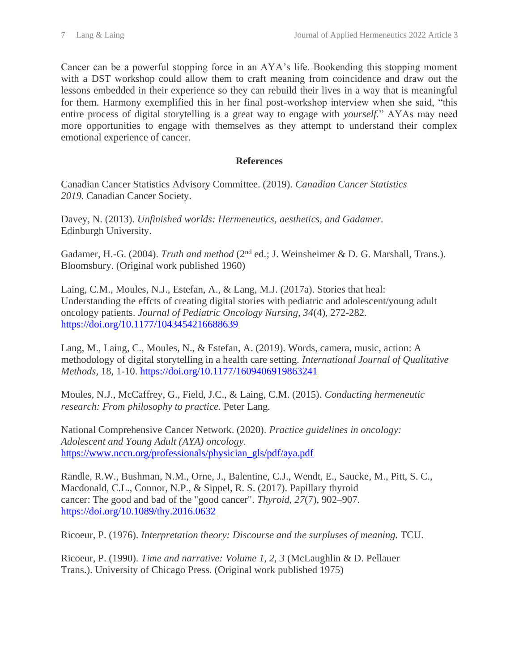Cancer can be a powerful stopping force in an AYA's life. Bookending this stopping moment with a DST workshop could allow them to craft meaning from coincidence and draw out the lessons embedded in their experience so they can rebuild their lives in a way that is meaningful for them. Harmony exemplified this in her final post-workshop interview when she said, "this entire process of digital storytelling is a great way to engage with *yourself*." AYAs may need more opportunities to engage with themselves as they attempt to understand their complex emotional experience of cancer.

### **References**

Canadian Cancer Statistics Advisory Committee. (2019). *Canadian Cancer Statistics 2019.* Canadian Cancer Society.

Davey, N. (2013). *Unfinished worlds: Hermeneutics, aesthetics, and Gadamer.* Edinburgh University.

Gadamer, H.-G. (2004). *Truth and method* (2<sup>nd</sup> ed.; J. Weinsheimer & D. G. Marshall, Trans.). Bloomsbury. (Original work published 1960)

Laing, C.M., Moules, N.J., Estefan, A., & Lang, M.J. (2017a). Stories that heal: Understanding the effcts of creating digital stories with pediatric and adolescent/young adult oncology patients. *Journal of Pediatric Oncology Nursing, 34*(4), 272-282. <https://doi.org/10.1177/1043454216688639>

Lang, M., Laing, C., Moules, N., & Estefan, A. (2019). Words, camera, music, action: A methodology of digital storytelling in a health care setting. *International Journal of Qualitative Methods,* 18, 1-10.<https://doi.org/10.1177/1609406919863241>

Moules, N.J., McCaffrey, G., Field, J.C., & Laing, C.M. (2015). *Conducting hermeneutic research: From philosophy to practice.* Peter Lang*.* 

National Comprehensive Cancer Network. (2020). *Practice guidelines in oncology: Adolescent and Young Adult (AYA) oncology.* [https://www.nccn.org/professionals/physician\\_gls/pdf/aya.pdf](https://www.nccn.org/professionals/physician_gls/pdf/aya.pdf) 

Randle, R.W., Bushman, N.M., Orne, J., Balentine, C.J., Wendt, E., Saucke, M., Pitt, S. C., Macdonald, C.L., Connor, N.P., & Sippel, R. S. (2017). Papillary thyroid cancer: The good and bad of the "good cancer". *Thyroid, 27*(7), 902–907. <https://doi.org/10.1089/thy.2016.0632>

Ricoeur, P. (1976). *Interpretation theory: Discourse and the surpluses of meaning.* TCU.

Ricoeur, P. (1990). *Time and narrative: Volume 1, 2, 3* (McLaughlin & D. Pellauer Trans.). University of Chicago Press. (Original work published 1975)